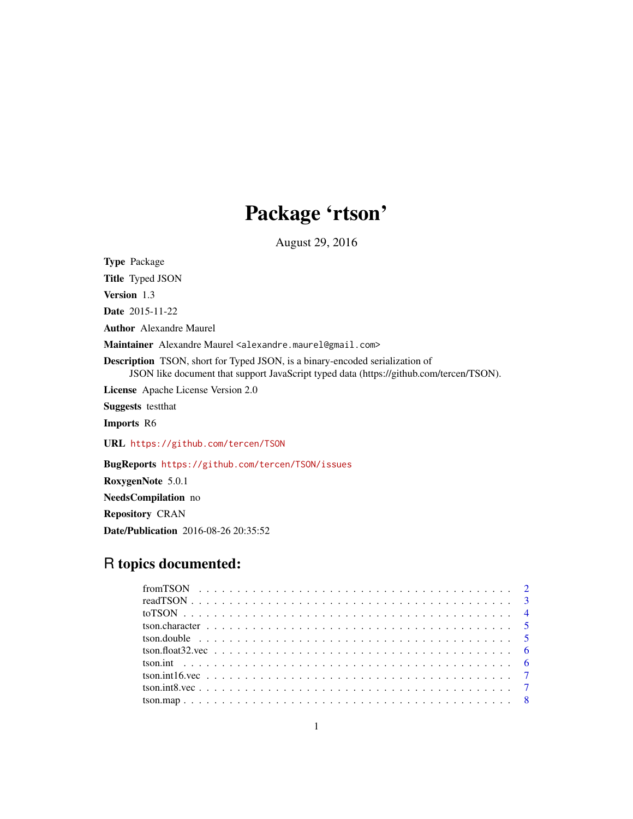## Package 'rtson'

August 29, 2016

Type Package Title Typed JSON Version 1.3 Date 2015-11-22 Author Alexandre Maurel Maintainer Alexandre Maurel <alexandre.maurel@gmail.com> Description TSON, short for Typed JSON, is a binary-encoded serialization of JSON like document that support JavaScript typed data (https://github.com/tercen/TSON). License Apache License Version 2.0 Suggests testthat Imports R6 URL <https://github.com/tercen/TSON> BugReports <https://github.com/tercen/TSON/issues> RoxygenNote 5.0.1 NeedsCompilation no

Repository CRAN

Date/Publication 2016-08-26 20:35:52

### R topics documented: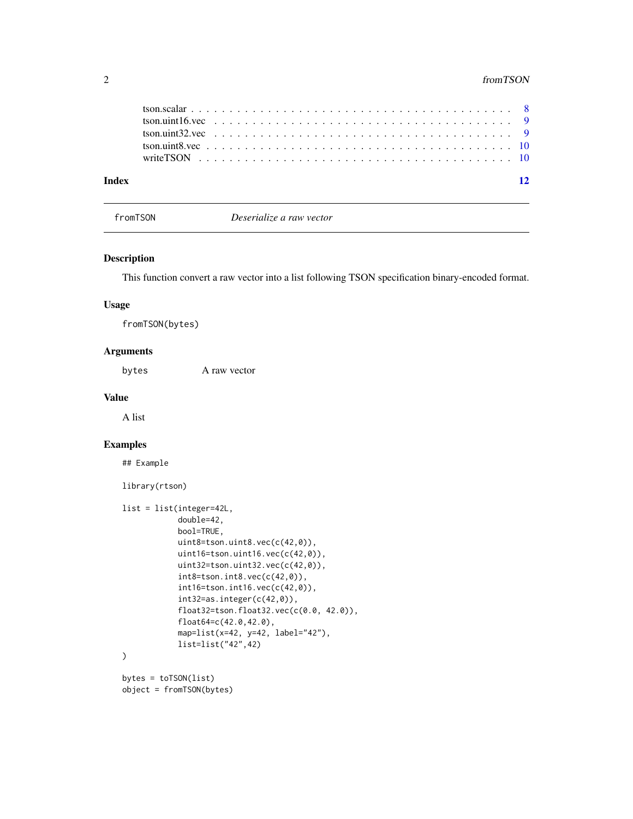<span id="page-1-0"></span>

| Index |  |  |  |  |  |  |  |  |  |  |  |  |  |  |  |  |  |  |  | 12 |
|-------|--|--|--|--|--|--|--|--|--|--|--|--|--|--|--|--|--|--|--|----|
|       |  |  |  |  |  |  |  |  |  |  |  |  |  |  |  |  |  |  |  |    |
|       |  |  |  |  |  |  |  |  |  |  |  |  |  |  |  |  |  |  |  |    |
|       |  |  |  |  |  |  |  |  |  |  |  |  |  |  |  |  |  |  |  |    |
|       |  |  |  |  |  |  |  |  |  |  |  |  |  |  |  |  |  |  |  |    |
|       |  |  |  |  |  |  |  |  |  |  |  |  |  |  |  |  |  |  |  |    |

fromTSON *Deserialize a raw vector*

#### Description

This function convert a raw vector into a list following TSON specification binary-encoded format.

#### Usage

fromTSON(bytes)

#### Arguments

bytes A raw vector

#### Value

A list

#### Examples

## Example

```
library(rtson)
```

```
list = list(integer=42L,
            double=42,
            bool=TRUE,
            uint8=tson.uint8.vec(c(42,0)),
            uint16=tson.uint16.vec(c(42,0)),
            uint32=tson.uint32.vec(c(42,0)),
            int8=tson.int8.vec(c(42,0)),
            int16=tson.int16.vec(c(42,0)),
            int32=as.integer(c(42,0)),
            float32=tson.float32.vec(c(0.0, 42.0)),
            float64=c(42.0,42.0),
            map=list(x=42, y=42, label="42"),
            list=list("42",42)
)
bytes = toTSON(list)
object = fromTSON(bytes)
```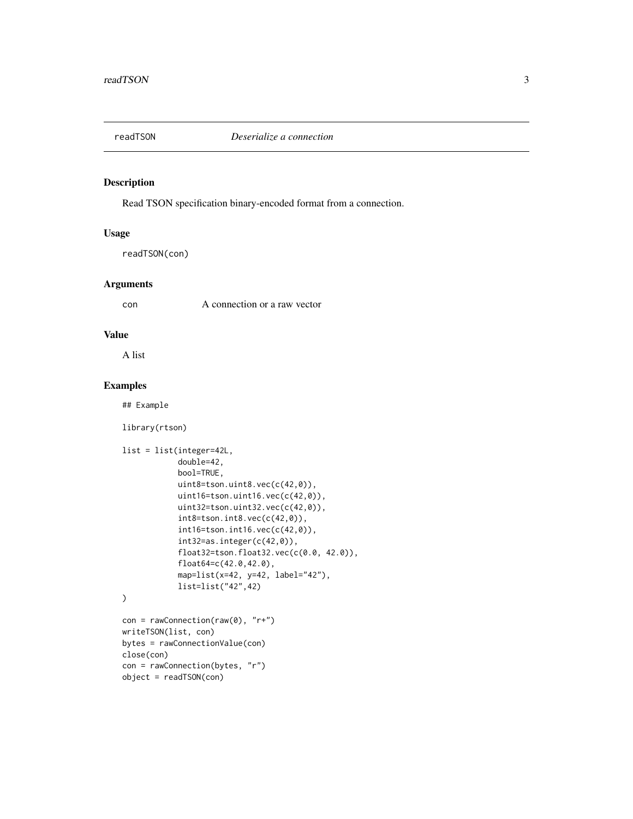<span id="page-2-0"></span>

#### Description

Read TSON specification binary-encoded format from a connection.

#### Usage

readTSON(con)

#### Arguments

con A connection or a raw vector

#### Value

A list

#### Examples

## Example

library(rtson)

object = readTSON(con)

```
list = list(integer=42L,
            double=42,
            bool=TRUE,
            uint8=tson.uint8.vec(c(42,0)),
            uint16=tson.uint16.vec(c(42,0)),
            uint32=tson.uint32.vec(c(42,0)),
            int8=tson.int8.vec(c(42,0)),int16=tson.int16.vec(c(42,0)),
            int32=as.integer(c(42,0)),
            float32=tson.float32.vec(c(0.0, 42.0)),
            float64=c(42.0,42.0),
            map=list(x=42, y=42, label="42"),
            list=list("42",42)
\mathcal{L}con = rawConnection(range(), "r+")writeTSON(list, con)
bytes = rawConnectionValue(con)
close(con)
con = rawConnection(bytes, "r")
```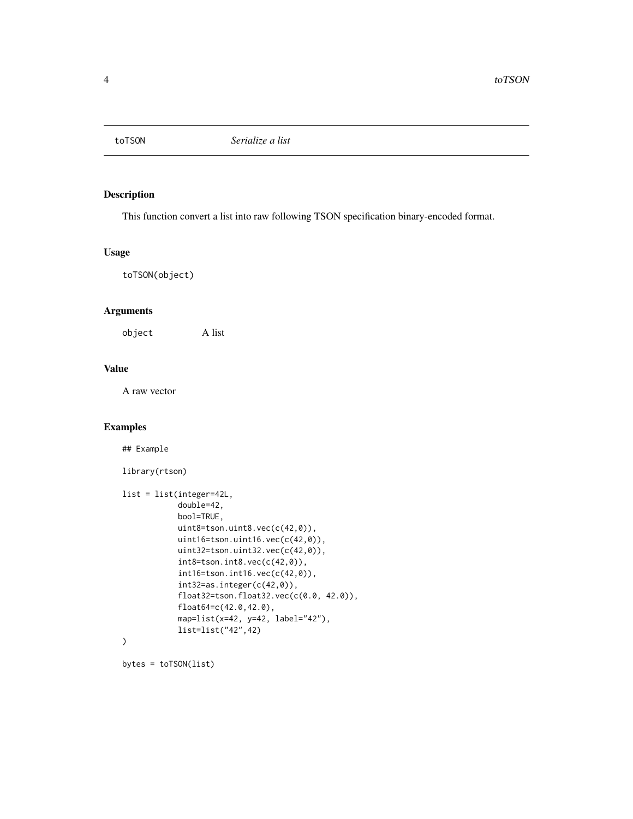<span id="page-3-0"></span>

#### Description

This function convert a list into raw following TSON specification binary-encoded format.

#### Usage

toTSON(object)

#### Arguments

object A list

#### Value

A raw vector

#### Examples

## Example

library(rtson)

```
list = list(integer=42L,
            double=42,
            bool=TRUE,
            uint8=tson.uint8.vec(c(42,0)),
            uint16=tson.uint16.vec(c(42,0)),
            uint32=tson.uint32.vec(c(42,0)),
            int8=tson.int8.vec(c(42,0)),
            int16=tson.int16.vec(c(42,0)),
            int32=as.integer(c(42,0)),
            float32=tson.float32.vec(c(0.0, 42.0)),
            float64=c(42.0,42.0),
            map=list(x=42, y=42, label="42"),
            list=list("42",42)
)
```

```
bytes = toTSON(list)
```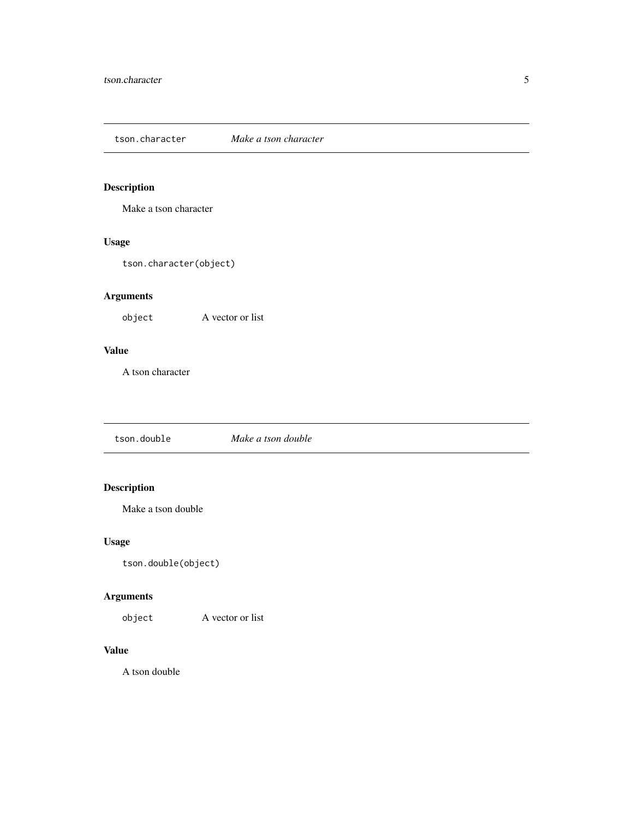<span id="page-4-0"></span>tson.character *Make a tson character*

#### Description

Make a tson character

#### Usage

tson.character(object)

#### Arguments

object A vector or list

#### Value

A tson character

tson.double *Make a tson double*

#### Description

Make a tson double

#### Usage

tson.double(object)

#### Arguments

object A vector or list

#### Value

A tson double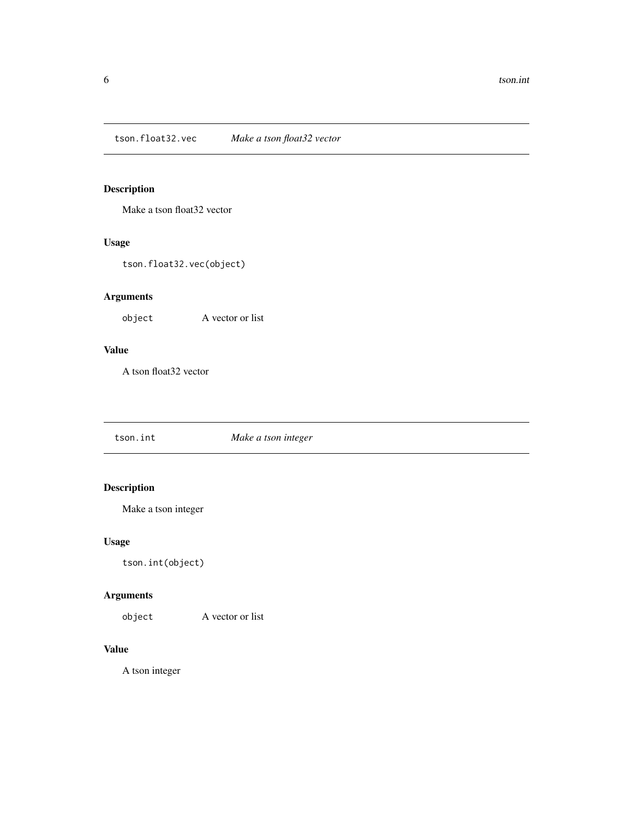<span id="page-5-0"></span>tson.float32.vec *Make a tson float32 vector*

#### Description

Make a tson float32 vector

#### Usage

tson.float32.vec(object)

#### Arguments

object A vector or list

#### Value

A tson float32 vector

tson.int *Make a tson integer*

#### Description

Make a tson integer

#### Usage

tson.int(object)

#### Arguments

object A vector or list

#### Value

A tson integer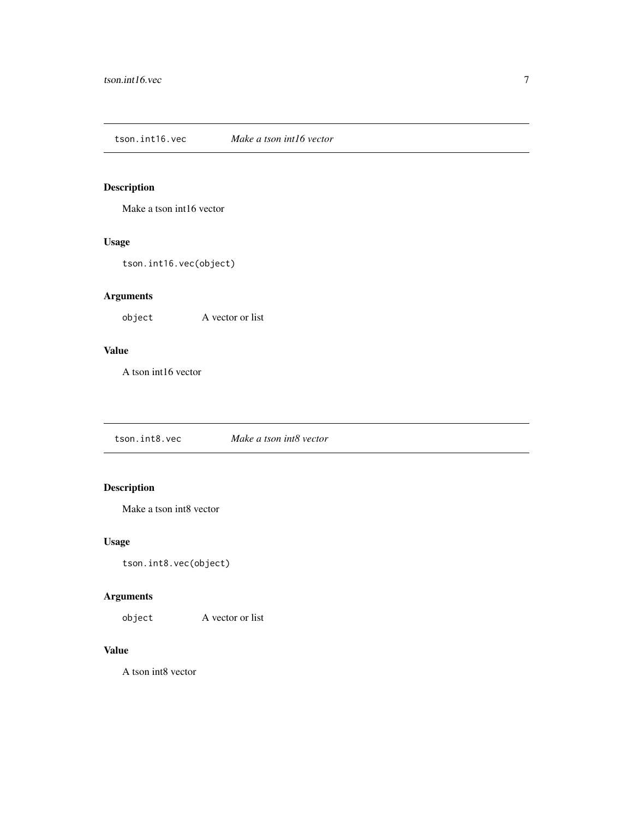<span id="page-6-0"></span>tson.int16.vec *Make a tson int16 vector*

#### Description

Make a tson int16 vector

#### Usage

tson.int16.vec(object)

#### Arguments

object A vector or list

#### Value

A tson int16 vector

tson.int8.vec *Make a tson int8 vector*

#### Description

Make a tson int8 vector

#### Usage

tson.int8.vec(object)

#### Arguments

object A vector or list

#### Value

A tson int8 vector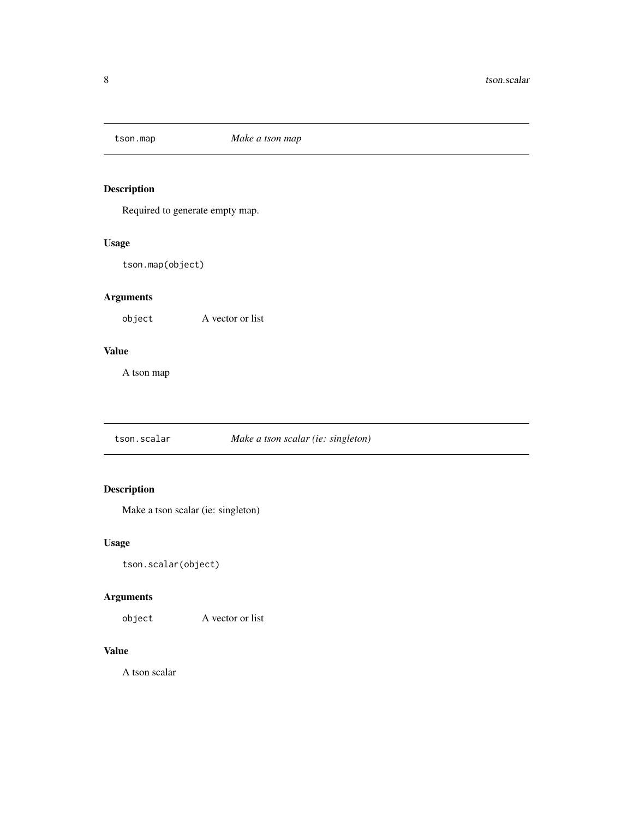<span id="page-7-0"></span>

#### Description

Required to generate empty map.

#### Usage

tson.map(object)

#### Arguments

object A vector or list

#### Value

A tson map

tson.scalar *Make a tson scalar (ie: singleton)*

#### Description

Make a tson scalar (ie: singleton)

#### Usage

tson.scalar(object)

#### Arguments

object A vector or list

#### Value

A tson scalar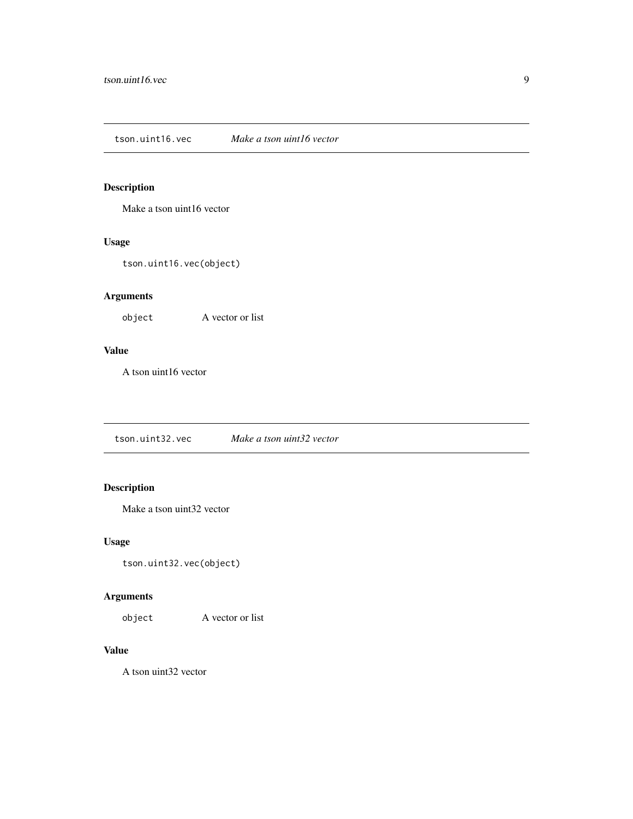<span id="page-8-0"></span>tson.uint16.vec *Make a tson uint16 vector*

#### Description

Make a tson uint16 vector

#### Usage

tson.uint16.vec(object)

#### Arguments

object A vector or list

#### Value

A tson uint16 vector

tson.uint32.vec *Make a tson uint32 vector*

#### Description

Make a tson uint32 vector

#### Usage

tson.uint32.vec(object)

#### Arguments

object A vector or list

#### Value

A tson uint32 vector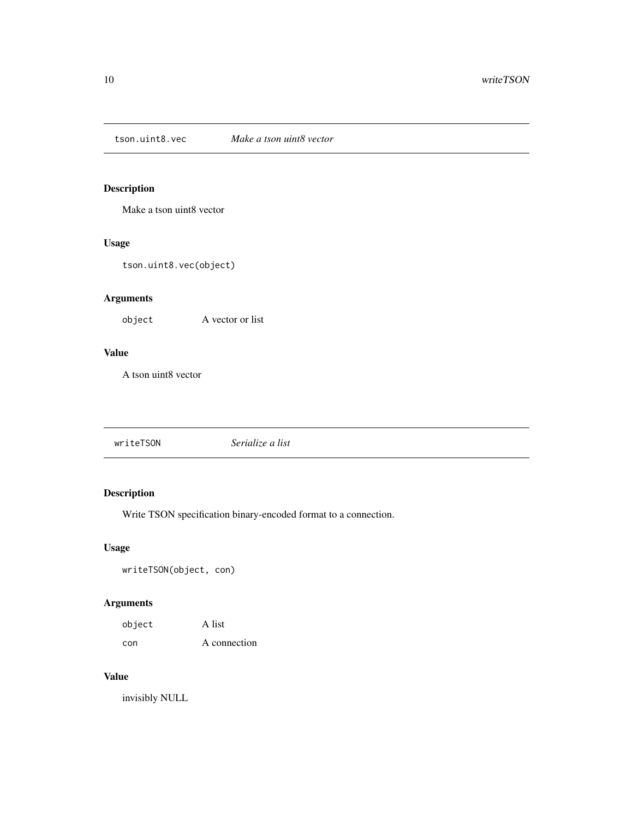<span id="page-9-0"></span>tson.uint8.vec *Make a tson uint8 vector*

#### Description

Make a tson uint8 vector

#### Usage

tson.uint8.vec(object)

#### Arguments

object A vector or list

#### Value

A tson uint8 vector

writeTSON *Serialize a list*

#### Description

Write TSON specification binary-encoded format to a connection.

#### Usage

writeTSON(object, con)

#### Arguments

| object | A list       |
|--------|--------------|
| con    | A connection |

#### Value

invisibly NULL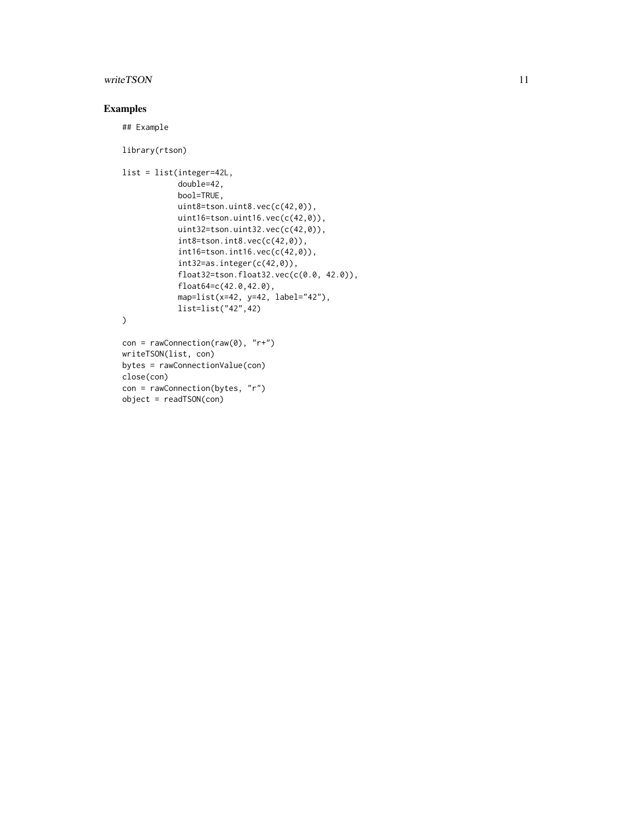#### writeTSON 11

#### Examples

## Example

close(con)

con = rawConnection(bytes, "r")

object = readTSON(con)

```
library(rtson)
list = list(integer=42L,
            double=42,
            bool=TRUE,
            uint8=tson.uint8.vec(c(42,0)),
            uint16=tson.uint16.vec(c(42,0)),
            uint32=tson.uint32.vec(c(42,0)),
            int8=tson.int8.vec(c(42,0)),
            int16=tson.int16.vec(c(42,0)),
            int32=as.integer(c(42,0)),
            float32=tson.float32.vec(c(0.0, 42.0)),
            float64=c(42.0,42.0),
            map=list(x=42, y=42, label="42"),
            list=list("42",42)
\mathcal{L}con = rawConnection(range), "r+")writeTSON(list, con)
bytes = rawConnectionValue(con)
```